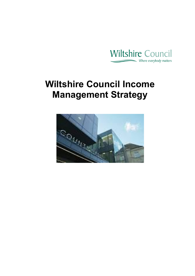

# **Wiltshire Council Income Management Strategy**

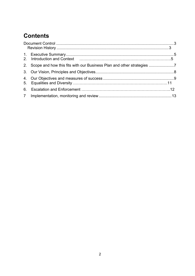# **Contents**

| 2. Scope and how this fits with our Business Plan and other strategies |  |
|------------------------------------------------------------------------|--|
|                                                                        |  |
|                                                                        |  |
|                                                                        |  |
|                                                                        |  |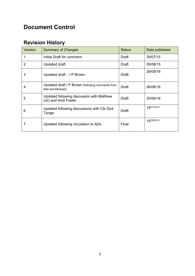# <span id="page-2-0"></span>**Document Control**

### <span id="page-2-1"></span>**Revision History**

| Version | <b>Summary of Changes</b>                                             | <b>Status</b> | Date published |
|---------|-----------------------------------------------------------------------|---------------|----------------|
|         | Initial Draft for comment                                             | Draft         | 29/07/15       |
| 2       | Updated draft                                                         | Draft         | 05/08/15       |
| 3       | Updated draft – I P Brown                                             | <b>Draft</b>  | 26/05/16       |
| 4       | Updated draft I P Brown (following comments from<br>Neil and Michael) | Draft         | 06/06/16       |
| 5       | Updated following discussion with Matthew<br>(x2) and Andi Foster     | Draft         | 20/06/16       |
| 6       | Updated following discussions with CIIr Dick<br>Tonge                 | <b>Draft</b>  | 15/07/2016     |
|         | Updated following circulation to ADs                                  | Final         | 15/08/2016     |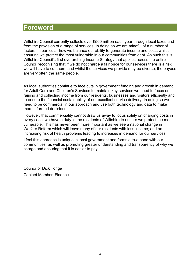# **Foreword**

Wiltshire Council currently collects over £500 million each year through local taxes and from the provision of a range of services. In doing so we are mindful of a number of factors, in particular how we balance our ability to generate income and costs whilst ensuring we protect the most vulnerable in our communities from debt. As such this is Wiltshire Council's first overarching Income Strategy that applies across the entire Council recognising that if we do not charge a fair price for our services there is a risk we will have to cut them; and whilst the services we provide may be diverse, the payees are very often the same people.

As local authorities continue to face cuts in government funding and growth in demand for Adult Care and Children's Services to maintain key services we need to focus on raising and collecting income from our residents, businesses and visitors efficiently and to ensure the financial sustainability of our excellent service delivery. In doing so we need to be commercial in our approach and use both technology and data to make more informed decisions.

However, that commerciality cannot draw us away to focus solely on charging costs in every case, we have a duty to the residents of Wiltshire to ensure we protect the most vulnerable. This has never been more important as we see a national change in Welfare Reform which will leave many of our residents with less income; and an increasing risk of health problems leading to increases in demand for our services.

I feel this approach is unique in local government and forms a true bond with our communities, as well as promoting greater understanding and transparency of why we charge and ensuring that it is easier to pay.

Councillor Dick Tonge Cabinet Member, Finance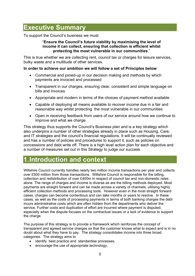# **Executive Summary**

To support the Council's business we must:

#### "**Ensure the Council's future viability by maximising the level of income it can collect, ensuring that collection is efficient whilst protecting the most vulnerable in our communities**."

This is true whether we are collecting rent, council tax or charges for leisure services, bulky waste and a multitude of other services.

#### **In order to achieve our ambition we will follow a set of Principles below**:

- Commercial and joined-up in our decision making and methods by which payments are invoiced and processed
- Transparent in our charges, ensuring clear, consistent and simple language on bills and invoices
- Appropriate and modern in terms of the choices of payment method available
- Capable of deploying all means available to recover income due in a fair and reasonable way whilst protecting the most vulnerable in our communities
- Open in receiving feedback from users of our service around how we continue to improve and what we charge.

This strategy thus supports the Council's Business plan and is a key strategy which also underpins a number of other strategies already in place such as Housing, Care, and IT strategies and the council's financial regulations. It will be continually reviewed and has a number of policies and procedures to support it, such as policies on concessions and debt write off. There is a high level action plan for each objective and a number of measures set out in this Strategy to judge our success.

# <span id="page-4-0"></span>**1.Introduction and context**

Wiltshire Council currently handles nearly two million income transactions per year and collects over £500 million from those transactions. Wiltshire Council is responsible for the billing, collection and redistribution of over £400m in respect of council tax and non-domestic rates alone. The range of charges and income is diverse as are the billing methods deployed. Most payments are straight forward and can be made across a variety of channels, utilising highly efficient collection methods and processing tools. However even in the most straight forward cases, charges can become contentious and can take months or years to resolve. In these cases, as well as the costs of processing payments in terms of both banking charges the debt incurs administrative costs which are often hidden from the departments who deliver the service. Further costs and duplication of effort are incurred where payment is disputed, especially when the dispute focuses on the contractual issues or a lack of evidence to support the charge.

The purpose of this strategy is to provide a framework which reinforces the concept of transparent and agreed service charges so that the customer knows what to expect and is in no doubt about what they have to pay. The strategy consolidates income into three broad categories. The strategy aims to

- identify best practice and standardise processes,
- encourage the use of appropriate technology,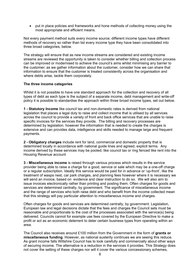put in place policies and frameworks and hone methods of collecting money using the most appropriate and efficient means.

Not every payment method suits every income source; different income types have different methods of recovery so rather than list every income type they have been consolidated into three broad categories, below.

The strategy will ensure that as new income streams are considered and existing income streams are reviewed the opportunity is taken to consider whether billing and collection process can be improved or modernised to achieve the council's aims whilst minimising any barrier to the customer; as we gather information about the customer, consider how we can share that information to ensure that the customer is treated consistently across the organisation and where debts arise, tackle them corporately.

#### **The three income categories**

Whilst it is not possible to have one standard approach for the collection and recovery of all types of debt as each type is the subject of a separate income, debt management and write-off policy it is possible to standardise the approach within three broad income types, set out below.

**1 - Statutory Income** like council tax and non-domestic rates is derived from national legislation that places a legal duty to raise and collect income that is utilised by all services across the council to provide a variety of front and back office services that are unable to raise specific invoices for the services they provide. The billing and recovery processes are determined by legislation. however the information that is needed to create the charges is extensive and can provides data, intelligence and skills needed to manage large and frequent payments.

**2 - Obligatory charges** include rent for land, commercial and domestic property that is determined locally in accordance with national guide lines and agreed, explicit terms. Any income derived by these services may be pooled, like council tax or ring fenced like rent into the Housing Revenue account

**3 - Miscellaneous income** is raised through various process which results in the service provider being able to raise a charge for a good, service or sale which may be a one-off charge or a regular subscription. Ideally this service would be paid for in advance or 'up-front', like the treatment of wasps nest, car park charges, and planning fees however where it is necessary we will send an invoice, based on evidence and clear instruction to do so. We will also aim to issue invoices electronically rather than printing and posting them. Often charges for goods and services are determined centrally, by government. The significance of miscellaneous income and the range of services who both raise debt and who benefit from the income collected mean that this strategy will pay particular attention to miscellaneous income and charges.

Often charges for goods and services are determined centrally, by government. Legislation, European law and legal decisions dictate that the fees and charges the Council sets must be reasonable and proportionate to the cost of the processes associated with the service(s) being delivered. Councils cannot for example use fees covered by the European Directive to make a profit or act as an economic deterrent to deter certain business types from operating within an area.

The Council also receives around £100 million from the Government in the form of **grants or miscellaneous funding**. However, as national austerity continues we are seeing this reduce. As grant income falls Wiltshire Council has to look carefully and commercially about other ways of securing income. The alternative is a reduction in the services it provides. This Strategy does not cover the setting of these charges nor will it cover the various concessionary schemes,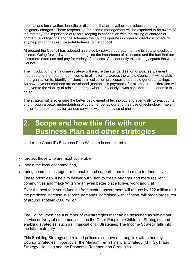national and local welfare benefits or discounts that are available to reduce statutory and obligatory charges. Those responsible for income management will be expected to be aware of the strategy, the importance of record keeping in connection with the raising of charges or contractual obligations and the schemes the council operates in order to direct customers to any help which may reduce indebtedness to the council.

At present the Council has adopted a service by service approach to how its sets and collects income. Going forward we need to recognise the importance of all income and the fact that our customers often use and pay for variety of services. Consequently this strategy spans the whole Council.

The introduction of an income strategy will ensure the standardisation of policies, payment methods and the treatment of income, in all its forms, across the whole Council. It will enable the organisation to, identify efficiencies in collection processes that should generate savings.. As new payment methods are developed (contactless payments, for example) consideration will be given to the viability of raising a charge where previously it was considered uneconomic to do so.

The strategy will also ensure the better deployment of technology and eventually to e-accounts and through a better understanding of customer behaviour and their use of technology, make it easier for people to pay for various services with their device of choice.

# <span id="page-6-0"></span>**2. Scope and how this fits with our Business Plan and other strategies**

Under the Council's Business Plan Wiltshire is committed to:

- protect those who are most vulnerable
- boost the local economy; and,
- bring communities together to enable and support them to do more for themselves

These priorities will help to deliver our vision to create stronger and more resilient communities and make Wiltshire an even better place to live, work and visit.

Over the next four years funding from central government will reduce by £22 million and the predicted increase in service demands, combined with inflation, will mean pressures of around another £100 million.

The Council then has a number of key strategies that can be described as setting our service delivery of outcomes, such as the Older People or Children's Strategies; and enabling strategies, such as Financial or IT Strategies. The Income Strategy falls into the latter category.

This Enabling Strategy and related polices also have a strong link with other key Council Strategies, in particular the Medium Term Financial Strategy (MTFS), Fraud Strategy, Housing and the Economic Regeneration Strategies.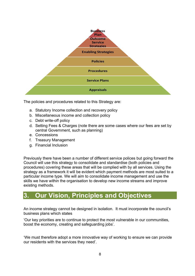

The policies and procedures related to this Strategy are:

- a. Statutory Income collection and recovery policy
- b. Miscellaneous income and collection policy
- c. Debt write-off policy
- d. Setting Fees & Charges (note there are some cases where our fees are set by central Government, such as planning)
- e. Concessions
- f. Treasury Management
- g. Financial Inclusion

Previously there have been a number of different service polices but going forward the Council will use this strategy to consolidate and standardise (both policies and procedures) covering these areas that will be complied with by all services. Using the strategy as a framework it will be evident which payment methods are most suited to a particular income type. We will aim to consolidate income management and use the skills we have within the organisation to develop new income streams and improve existing methods.

### <span id="page-7-0"></span>**3. Our Vision, Principles and Objectives**

An income strategy cannot be designed in isolation. It must incorporate the council's business plans which states

'Our key priorities are to continue to protect the most vulnerable in our communities, boost the economy, creating and safeguarding jobs'.

'We must therefore adopt a more innovative way of working to ensure we can provide our residents with the services they need'.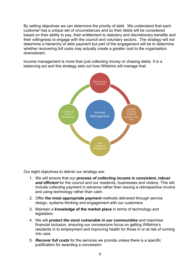By setting objectives we can determine the priority of debt. We understand that each customer has a unique set of circumstances and so their debts will be considered based on their ability to pay, their entitlement to statutory and discretionary benefits and their willingness to engage with the council and voluntary sectors. The strategy will not determine a hierarchy of debt payment but part of the engagement will be to determine whether recovering full costs may actually create a greater cost to the organisation downstream.

Income management is more than just collecting money or chasing debts. It is a balancing act and this strategy sets out how Wiltshire will manage that:



Our eight objectives to deliver our strategy are:

- 1. We will ensure that our *process of collecting income is consistent, robust and efficient* for the council and our residents, businesses and visitors. This will include collecting payment in advance rather than issuing a retrospective invoice and using technology rather than cash.
- 2. Offer **the most appropriate payment** methods delivered through service design, systems thinking and engagement with our customers
- 3. Maintain a **knowledge of the market place** in terms of technology and legislation.
- 4. We will *protect the most vulnerable in our communities* and maximise financial inclusion, ensuring our concessions focus on getting Wiltshire's residents in to employment and improving health for those in or at risk of coming into care.
- 5. *Recover full costs* for the services we provide unless there is a specific justification for awarding a concession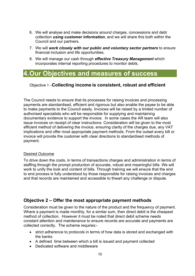- 6. We will analyse and make decisions around charges, concessions and debt collection *using customer information*, and we will share this both within the Council and our partners.
- 7. We will *work closely with our public and voluntary sector partners* to ensure financial inclusion and life opportunities.
- 8. We will manage our cash through *effective Treasury Management* which incorporates internal reporting procedures to monitor debts.

### <span id="page-9-0"></span>**4.Our Objectives and measures of success**

### Objective 1 –**Collecting income is consistent, robust and efficient**

The Council needs to ensure that its processes for raising invoices and processing payments are standardised, efficient and rigorous but also enable the payee to be able to make payments to the Council easily. Invoices will be raised by a limited number of authorised specialists who will be responsible for supplying and maintaining documentary evidence to support the invoice. In some cases the AR team will also issue invoices on receipt of clear instructions. Consideration will be given to the most efficient method of delivering the invoice, ensuring clarity of the charges due, any VAT implications and offer most appropriate payment methods. From the outset every bill or invoice will provide the customer with clear directions to standardised methods of payment.

#### Desired Outcome

To drive down the costs, in terms of transactions charges and administration in terms of staffing through the prompt production of accurate, robust and meaningful bills. We will work to unify the look and content of bills. Through training we will ensure that the end to end process is fully understood by those responsible for raising invoices and charges and that records are maintained and accessible to thwart any challenge or dispute.

### **Objective 2 – Offer the most appropriate payment methods**

Consideration must be given to the nature of the product and the frequency of payment. Where a payment is made monthly, for a similar sum, then direct debit is the cheapest method of collection. However it must be noted that direct debit scheme needs constant attention and maintenance to ensure records are accurate and payments are collected correctly. The scheme requires:-

- strict adherence to protocols in terms of how data is stored and exchanged with the banks
- A defined time between which a bill is issued and payment collected
- Dedicated software and middleware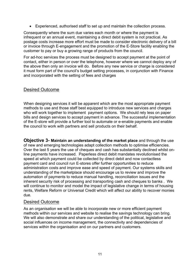Experienced, authorised staff to set up and maintain the collection process.

Consequently where the sum due varies each month or where the payment is infrequent or an annual event, maintaining a direct debit system is not practical. As postage costs increase more effort must be made to consider electronic delivery of a bill or invoice through E-engagement and the promotion of the E-Store facility enabling the customer to pay or buy a growing range of products from the council.

For ad-hoc services the process must be designed to accept payment at the point of contact, either in person or over the telephone, however where we cannot deploy any of the above then only an invoice will do. Before any new service or charge is considered it must form part of the council's budget setting processes, in conjunction with Finance and incorporated with the setting of fees and charges

### Desired Outcome

When designing services it will be apparent which are the most appropriate payment methods to use and those staff best equipped to introduce new services and charges who will work together to implement payment options. We should rely less on paper bills and design services to accept payment in advance. The successful implementation of the E-store will provide a further tool to automate or e-enable payments and enable the council to work with partners and sell products on their behalf.

**Objective 3- Maintain an understanding of the market place** and through the use of new and emerging technologies adapt collection methods to optimise efficiencies. Over the last 5 years the use of cheques and cash has substantially declined whilst online payments have increased. Paperless direct debit mandates revolutionised the speed at which payment could be collected by direct debit and now contactless payment card and council run E-stores offer further opportunities to reduce administration costs and improve ease and speed of payment. Our systems skills and understanding of the marketplace should encourage us to review and improve the automation of payments to reduce manual handling, reconciliation issues and the inherent security risk of processing and transporting cash and cheques to banks . We will continue to monitor and model the impact of legislative change in terms of housing rents, Welfare Reform or Universal Credit which will affect our ability to recover monies due.

#### Desired Outcome

As an organisation we will be able to incorporate new or more efficient payment methods within our services and website to realise the savings technology can bring. We will also demonstrate and share our understanding of the political, legislative and social influences on income management, the connectivity and dependencies of services within the organisation and on our partners and customers.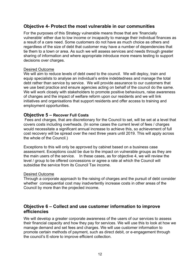### **Objective 4- Protect the most vulnerable in our communities**

For the purposes of this Strategy vulnerable means those that are 'financially vulnerable' either due to low income or incapacity to manage their individual finances as a result of a care need. Some customers do not have as much choice as others and regardless of the size of debt that customer may have a number of dependencies that tie them to a town or area. As such we will assess services and needs through greater sharing of information and where appropriate introduce more means testing to support decisions over charges.

#### Desired Outcome

We will aim to reduce levels of debt owed to the council. We will deploy, train and equip specialists to analyse an individual's entire indebtedness and manage the total debt rather than service by service. We will provide assurance to our customers that we use best practice and ensure agencies acting on behalf of the council do the same. We will work closely with stakeholders to promote positive behaviours, raise awareness of changes and the impact of welfare reform upon our residents and we will link initiatives and organisations that support residents and offer access to training and employment opportunities.

#### **Objective 5 – Recover Full Costs**

Fees and charges, that are discretionary for the Council to set, will be set at a level that covers costs including overheads. (In some cases the current level of fees / charges would necessitate a significant annual increase to achieve this, so achievement of full cost recovery will be spread over the next three years until 2019. This will apply across the whole of the Council.)

Exceptions to this will only be approved by cabinet based on a business case assessment. Exceptions could be due to the impact on vulnerable groups as they are the main users of the service. In these cases, as for objective 4, we will review the level / group to be offered concessions or agree a rate at which the Council will subsidise the service from its Council Tax income.

#### Desired Outcome

Through a corporate approach to the raising of charges and the pursuit of debt consider whether consequential cost may inadvertently increase costs in other areas of the Council by more than the projected income.

### **Objective 6 – Collect and use customer information to improve efficiencies**

We will develop a greater corporate awareness of the users of our services to assess their financial capacity and how they pay for services. We will use this to look at how we manage demand and set fees and charges. We will use customer information to promote certain methods of payment, such as direct debit, or e-engagement through the council's E-store to improve efficient collection.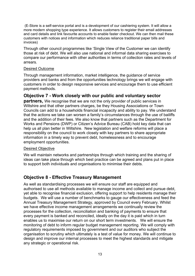(E-Store is a self-service portal and is a development of our cashiering system. It will allow a more modern shopping type experience. It allows customers to register their email addresses and card details and link favourite accounts to enable faster checkout. We can then mail these customers with notices and information which reduces reliance traditional paper bills and invoices)

Through other council programmes like 'Single View of the Customer we can identify those at risk of debt. We will also use national and informal data sharing exercises to compare our performance with other authorities in terms of collection rates and levels of arrears.

#### Desired Outcome

Through management information, market intelligence, the guidance of service providers and banks and from the opportunities technology brings we will engage with customers in order to design responsive services and encourage them to use efficient payment methods.

### **Objective 7 - Work closely with our public and voluntary sector**

**partners,** We recognise that we are not the only provider of public services in Wiltshire and that other partners charges, be they Housing Associations or Town Councils can add to a households financial incapacity and ability to pay. We understand that the actions we take can worsen a family's circumstances through the use of bailiffs and the addition of their fees. We also know that partners such as the Department for Works and Pensions (DWP) or Citizen's Advice Bureau (CAB) hold key data that can help us all plan better in Wiltshire. New legislation and welfare reforms will place a responsibility on the council to work closely with key partners to share appropriate information in a timely way to prevent debt, homelessness and to encourage employment opportunities.

#### Desired Objective

We will maintain networks and partnerships through which training and the sharing of ideas can take place through which best practice can be agreed and plans put in place to support both individuals and organisations to minimise their debts.

### **Objective 8 - Effective Treasury Management**

As well as standardising processes we will ensure our staff are equipped and authorised to use all methods available to manage income and collect and pursue debt, yet able to recognise financial exclusion, offering support to help residents manage their budgets. We will use a number of benchmarks to gauge our effectiveness and feed the Annual Treasury Management Strategy, approved by Council every February. Whilst we have effective income management arrangements we continually review the processes for the collection, reconciliation and banking of payments to ensure that every payment is banked and reconciled, ideally on the day it is paid which in turn enables us to maximise our return on our short term investments. We will ensure the monitoring of debt to inform regular budget management reporting. We will comply with regulatory requirements imposed by government and our auditors who subject the organisation to scrutiny which ultimately is a test of value for money. We will continue to design and improve our internal processes to meet the highest standards and mitigate any strategic or operational risk.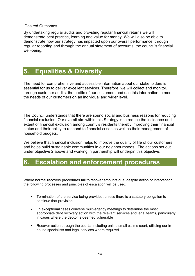#### Desired Outcomes

By undertaking regular audits and providing regular financial returns we will demonstrate best practice, learning and value for money. We will also be able to demonstrate how our strategy has impacted upon our overall performance, through regular reporting and through the annual statement of accounts, the council's financial well-being.

# **5. Equalities & Diversity**

The need for comprehensive and accessible information about our stakeholders is essential for us to deliver excellent services. Therefore, we will collect and monitor, through customer audits, the profile of our customers and use this information to meet the needs of our customers on an individual and wider level.

The Council understands that there are sound social and business reasons for reducing financial exclusion. Our overall aim within this Strategy is to reduce the incidence and extent of financial exclusion among county's residents thereby improving their financial status and their ability to respond to financial crises as well as their management of household budgets.

We believe that financial inclusion helps to improve the quality of life of our customers and helps build sustainable communities in our neighbourhoods. The actions set out under objective 2 above and working in partnership will underpin this objective.

### **6. Escalation and enforcement procedures**

Where normal recovery procedures fail to recover amounts due, despite action or intervention the following processes and principles of escalation will be used.

- Termination of the service being provided, unless there is a statutory obligation to continue that provision;
- In exceptional cases convene multi-agency meetings to determine the most appropriate debt recovery action with the relevant services and legal teams, particularly in cases where the debtor is deemed vulnerable
- Recover action through the courts, including online small claims court, utilising our inhouse specialists and legal services where required.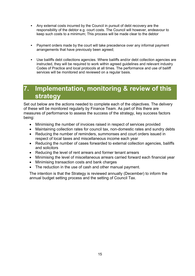- Any external costs incurred by the Council in pursuit of debt recovery are the responsibility of the debtor e.g. court costs. The Council will however, endeavour to keep such costs to a minimum; This process will be made clear to the debtor
- Payment orders made by the court will take precedence over any informal payment arrangements that have previously been agreed;
- Use bailiffs debt collections agencies. Where bailiffs and/or debt collection agencies are instructed, they will be required to work within agreed guidelines and relevant industry Codes of Practice and local protocols at all times. The performance and use of bailiff services will be monitored and reviewed on a regular basis.

# **7. Implementation, monitoring & review of this strategy**

Set out below are the actions needed to complete each of the objectives. The delivery of these will be monitored regularly by Finance Team. As part of this there are measures of performance to assess the success of the strategy, key success factors being:

- Minimising the number of invoices raised in respect of services provided
- Maintaining collection rates for council tax, non-domestic rates and sundry debts
- Reducing the number of reminders, summonses and court orders issued in respect of local taxes and miscellaneous income each year
- Reducing the number of cases forwarded to external collection agencies, bailiffs and solicitors
- Reducing the level of rent arrears and former tenant arrears
- Minimising the level of miscellaneous arrears carried forward each financial year
- Minimising transaction costs and bank charges
- The reduction in the use of cash and other manual payment.

The intention is that the Strategy is reviewed annually (December) to inform the annual budget setting process and the setting of Council Tax.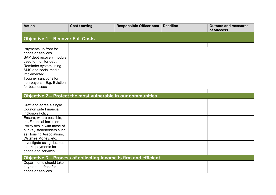| <b>Action</b>                                      | Cost / saving                                                    | Responsible Officer post | <b>Deadline</b> | <b>Outputs and measures</b><br>of success |  |
|----------------------------------------------------|------------------------------------------------------------------|--------------------------|-----------------|-------------------------------------------|--|
|                                                    |                                                                  |                          |                 |                                           |  |
| <b>Objective 1 - Recover Full Costs</b>            |                                                                  |                          |                 |                                           |  |
|                                                    |                                                                  |                          |                 |                                           |  |
| Payments up front for                              |                                                                  |                          |                 |                                           |  |
| goods or services                                  |                                                                  |                          |                 |                                           |  |
| SAP debt recovery module                           |                                                                  |                          |                 |                                           |  |
| used to monitor debt                               |                                                                  |                          |                 |                                           |  |
| Reminder system using                              |                                                                  |                          |                 |                                           |  |
| SMS and social media                               |                                                                  |                          |                 |                                           |  |
| implemented                                        |                                                                  |                          |                 |                                           |  |
| Tougher sanctions for                              |                                                                  |                          |                 |                                           |  |
| non-payers - E.g. Eviction                         |                                                                  |                          |                 |                                           |  |
| for businesses                                     |                                                                  |                          |                 |                                           |  |
|                                                    |                                                                  |                          |                 |                                           |  |
|                                                    | Objective 2 - Protect the most vulnerable in our communities     |                          |                 |                                           |  |
|                                                    |                                                                  |                          |                 |                                           |  |
| Draft and agree a single                           |                                                                  |                          |                 |                                           |  |
| Council wide Financial                             |                                                                  |                          |                 |                                           |  |
| <b>Inclusion Policy</b>                            |                                                                  |                          |                 |                                           |  |
| Ensure, where possible,<br>the Financial Inclusion |                                                                  |                          |                 |                                           |  |
| Policy ties in with those of                       |                                                                  |                          |                 |                                           |  |
| our key stakeholders such                          |                                                                  |                          |                 |                                           |  |
| as Housing Associations,                           |                                                                  |                          |                 |                                           |  |
| Wiltshire Money, etc                               |                                                                  |                          |                 |                                           |  |
| Investigate using libraries                        |                                                                  |                          |                 |                                           |  |
| to take payments for                               |                                                                  |                          |                 |                                           |  |
| goods and services                                 |                                                                  |                          |                 |                                           |  |
|                                                    | Objective 3 - Process of collecting income is firm and efficient |                          |                 |                                           |  |
| Departments should take                            |                                                                  |                          |                 |                                           |  |
| payment up front for                               |                                                                  |                          |                 |                                           |  |
| goods or services.                                 |                                                                  |                          |                 |                                           |  |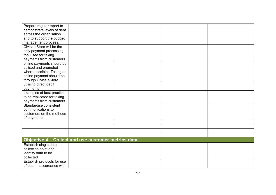| Prepare regular report to   |                                                     |  |  |
|-----------------------------|-----------------------------------------------------|--|--|
| demonstrate levels of debt  |                                                     |  |  |
| across the organisation     |                                                     |  |  |
| and to support the budget   |                                                     |  |  |
| management process.         |                                                     |  |  |
| Civica eStore will be the   |                                                     |  |  |
| only payment processing     |                                                     |  |  |
| tool used for taking        |                                                     |  |  |
| payments from customers.    |                                                     |  |  |
| online payments should be   |                                                     |  |  |
| utilised and promoted       |                                                     |  |  |
| where possible. Taking an   |                                                     |  |  |
| online payment should be    |                                                     |  |  |
| through Civica eStore       |                                                     |  |  |
| utilising direct debit      |                                                     |  |  |
| payments                    |                                                     |  |  |
| examples of best practice   |                                                     |  |  |
| to be replicated for taking |                                                     |  |  |
| payments from customers     |                                                     |  |  |
| Standardise consistent      |                                                     |  |  |
| communications to           |                                                     |  |  |
| customers on the methods    |                                                     |  |  |
| of payments                 |                                                     |  |  |
|                             |                                                     |  |  |
|                             |                                                     |  |  |
|                             |                                                     |  |  |
|                             |                                                     |  |  |
|                             | Objective 4 - Collect and use customer metrics data |  |  |
| Establish single data       |                                                     |  |  |
| collection point and        |                                                     |  |  |
| identify data to be         |                                                     |  |  |
| collected                   |                                                     |  |  |
| Establish protocols for use |                                                     |  |  |
| of data in accordance with  |                                                     |  |  |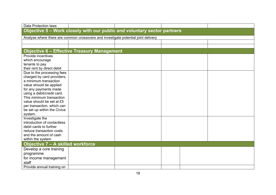| Data Protection laws                               |                                                                                    |  |  |
|----------------------------------------------------|------------------------------------------------------------------------------------|--|--|
|                                                    | Objective 5 - Work closely with our public and voluntary sector partners           |  |  |
|                                                    | Analyse where there are common crossovers and investigate potential joint delivery |  |  |
|                                                    |                                                                                    |  |  |
|                                                    |                                                                                    |  |  |
|                                                    | <b>Objective 6 - Effective Treasury Management</b>                                 |  |  |
| Provide incentives                                 |                                                                                    |  |  |
| which encourage                                    |                                                                                    |  |  |
| tenants to pay                                     |                                                                                    |  |  |
| their rent by direct debit                         |                                                                                    |  |  |
| Due to the processing fees                         |                                                                                    |  |  |
| charged by card providers,                         |                                                                                    |  |  |
| a minimum transaction                              |                                                                                    |  |  |
| value should be applied                            |                                                                                    |  |  |
| for any payments made                              |                                                                                    |  |  |
| using a debit/credit card.                         |                                                                                    |  |  |
| This minimum transaction                           |                                                                                    |  |  |
| value should be set at £5                          |                                                                                    |  |  |
| per transaction, which can                         |                                                                                    |  |  |
| be set up within the Civica                        |                                                                                    |  |  |
| system.                                            |                                                                                    |  |  |
| Investigate the                                    |                                                                                    |  |  |
| introduction of contactless                        |                                                                                    |  |  |
| debit cards to further                             |                                                                                    |  |  |
| reduce transaction costs<br>and the amount of cash |                                                                                    |  |  |
|                                                    |                                                                                    |  |  |
| within the system                                  |                                                                                    |  |  |
| Objective 7 - A skilled workforce                  |                                                                                    |  |  |
| Develop a core training                            |                                                                                    |  |  |
| programme                                          |                                                                                    |  |  |
| for income management                              |                                                                                    |  |  |
| staff                                              |                                                                                    |  |  |
| Provide annual training on                         |                                                                                    |  |  |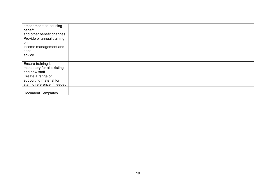| amendments to housing        |  |  |
|------------------------------|--|--|
| benefit                      |  |  |
| and other benefit changes    |  |  |
| Provide bi-annual training   |  |  |
| on                           |  |  |
| income management and        |  |  |
| debt                         |  |  |
| advice                       |  |  |
|                              |  |  |
| Ensure training is           |  |  |
| mandatory for all existing   |  |  |
| and new staff                |  |  |
| Create a range of            |  |  |
| supporting material for      |  |  |
| staff to reference if needed |  |  |
|                              |  |  |
| <b>Document Templates</b>    |  |  |